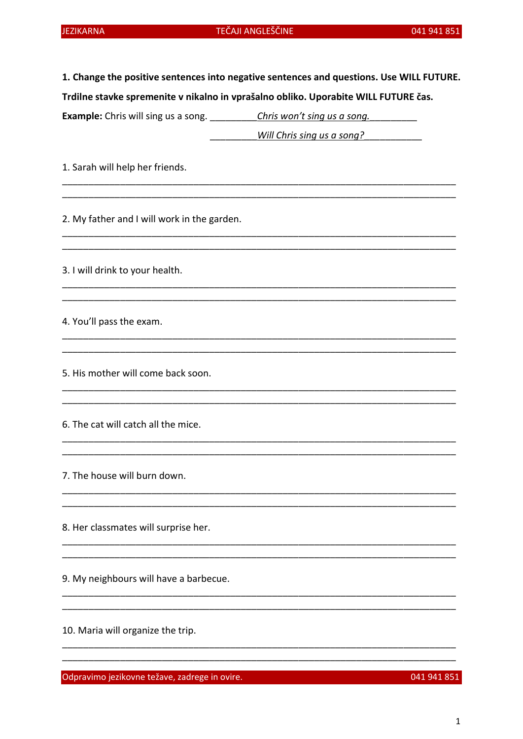|  |  |  |  | 1. Change the positive sentences into negative sentences and questions. Use WILL FUTURE. |  |  |
|--|--|--|--|------------------------------------------------------------------------------------------|--|--|
|  |  |  |  |                                                                                          |  |  |

Trdilne stavke spremenite v nikalno in vprašalno obliko. Uporabite WILL FUTURE čas.

| <b>Example:</b> Chris will sing us a song.<br>Chris won't sing us a song. |  |
|---------------------------------------------------------------------------|--|
|---------------------------------------------------------------------------|--|

<u>Will Chris sing us a song?</u>

1. Sarah will help her friends.

2. My father and I will work in the garden.

3. I will drink to your health.

4. You'll pass the exam.

5. His mother will come back soon.

6. The cat will catch all the mice.

7. The house will burn down.

8. Her classmates will surprise her.

9. My neighbours will have a barbecue.

10. Maria will organize the trip.

Odpravimo jezikovne težave, zadrege in ovire.

041 941 851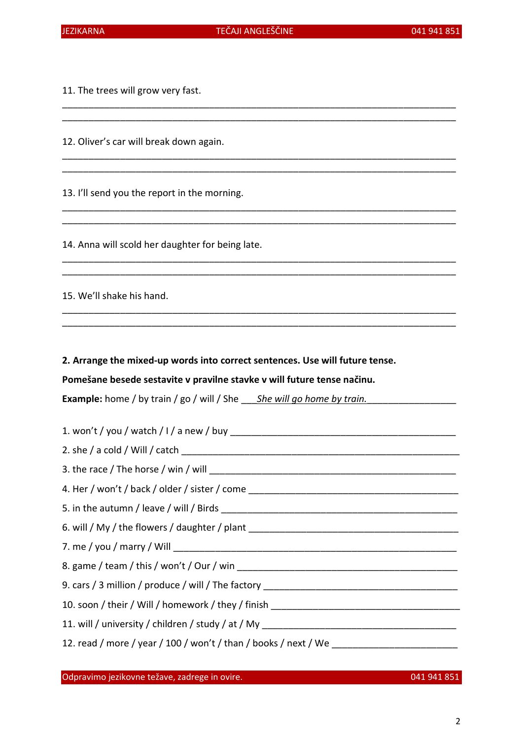\_\_\_\_\_\_\_\_\_\_\_\_\_\_\_\_\_\_\_\_\_\_\_\_\_\_\_\_\_\_\_\_\_\_\_\_\_\_\_\_\_\_\_\_\_\_\_\_\_\_\_\_\_\_\_\_\_\_\_\_\_\_\_\_\_\_\_\_\_\_\_\_\_\_\_ \_\_\_\_\_\_\_\_\_\_\_\_\_\_\_\_\_\_\_\_\_\_\_\_\_\_\_\_\_\_\_\_\_\_\_\_\_\_\_\_\_\_\_\_\_\_\_\_\_\_\_\_\_\_\_\_\_\_\_\_\_\_\_\_\_\_\_\_\_\_\_\_\_\_\_

\_\_\_\_\_\_\_\_\_\_\_\_\_\_\_\_\_\_\_\_\_\_\_\_\_\_\_\_\_\_\_\_\_\_\_\_\_\_\_\_\_\_\_\_\_\_\_\_\_\_\_\_\_\_\_\_\_\_\_\_\_\_\_\_\_\_\_\_\_\_\_\_\_\_\_ \_\_\_\_\_\_\_\_\_\_\_\_\_\_\_\_\_\_\_\_\_\_\_\_\_\_\_\_\_\_\_\_\_\_\_\_\_\_\_\_\_\_\_\_\_\_\_\_\_\_\_\_\_\_\_\_\_\_\_\_\_\_\_\_\_\_\_\_\_\_\_\_\_\_\_

\_\_\_\_\_\_\_\_\_\_\_\_\_\_\_\_\_\_\_\_\_\_\_\_\_\_\_\_\_\_\_\_\_\_\_\_\_\_\_\_\_\_\_\_\_\_\_\_\_\_\_\_\_\_\_\_\_\_\_\_\_\_\_\_\_\_\_\_\_\_\_\_\_\_\_ \_\_\_\_\_\_\_\_\_\_\_\_\_\_\_\_\_\_\_\_\_\_\_\_\_\_\_\_\_\_\_\_\_\_\_\_\_\_\_\_\_\_\_\_\_\_\_\_\_\_\_\_\_\_\_\_\_\_\_\_\_\_\_\_\_\_\_\_\_\_\_\_\_\_\_

\_\_\_\_\_\_\_\_\_\_\_\_\_\_\_\_\_\_\_\_\_\_\_\_\_\_\_\_\_\_\_\_\_\_\_\_\_\_\_\_\_\_\_\_\_\_\_\_\_\_\_\_\_\_\_\_\_\_\_\_\_\_\_\_\_\_\_\_\_\_\_\_\_\_\_ \_\_\_\_\_\_\_\_\_\_\_\_\_\_\_\_\_\_\_\_\_\_\_\_\_\_\_\_\_\_\_\_\_\_\_\_\_\_\_\_\_\_\_\_\_\_\_\_\_\_\_\_\_\_\_\_\_\_\_\_\_\_\_\_\_\_\_\_\_\_\_\_\_\_\_

\_\_\_\_\_\_\_\_\_\_\_\_\_\_\_\_\_\_\_\_\_\_\_\_\_\_\_\_\_\_\_\_\_\_\_\_\_\_\_\_\_\_\_\_\_\_\_\_\_\_\_\_\_\_\_\_\_\_\_\_\_\_\_\_\_\_\_\_\_\_\_\_\_\_\_ \_\_\_\_\_\_\_\_\_\_\_\_\_\_\_\_\_\_\_\_\_\_\_\_\_\_\_\_\_\_\_\_\_\_\_\_\_\_\_\_\_\_\_\_\_\_\_\_\_\_\_\_\_\_\_\_\_\_\_\_\_\_\_\_\_\_\_\_\_\_\_\_\_\_\_

11. The trees will grow very fast.

12. Oliver's car will break down again.

13. I'll send you the report in the morning.

14. Anna will scold her daughter for being late.

15. We'll shake his hand.

2. Arrange the mixed-up words into correct sentences. Use will future tense.

Pomešane besede sestavite v pravilne stavke v will future tense načinu.

**Example:** home / by train / go / will / She  $\frac{She\ will\ go\ home\ by\ train.}{2}$ 

Odpravimo jezikovne težave, zadrege in ovire. 041 941 851